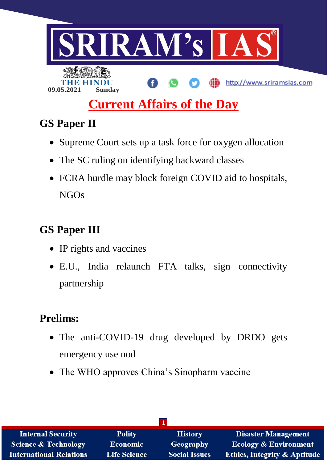

# **GS Paper II**

- Supreme Court sets up a task force for oxygen allocation
- The SC ruling on identifying backward classes
- FCRA hurdle may block foreign COVID aid to hospitals, NGOs

# **GS Paper III**

- IP rights and vaccines
- E.U., India relaunch FTA talks, sign connectivity partnership

# **Prelims:**

- The anti-COVID-19 drug developed by DRDO gets emergency use nod
- The WHO approves China's Sinopharm vaccine

| <b>Internal Security</b>       | <b>Polity</b>       | <b>History</b>       | <b>Disaster Management</b>              |
|--------------------------------|---------------------|----------------------|-----------------------------------------|
| Science & Technology           | <b>Economic</b>     | Geography            | <b>Ecology &amp; Environment</b>        |
| <b>International Relations</b> | <b>Life Science</b> | <b>Social Issues</b> | <b>Ethics, Integrity &amp; Aptitude</b> |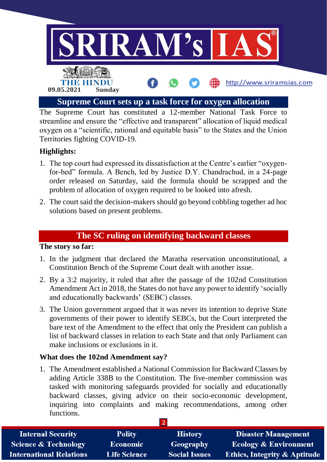

The Supreme Court has constituted a 12-member National Task Force to streamline and ensure the "effective and transparent" allocation of liquid medical oxygen on a "scientific, rational and equitable basis" to the States and the Union Territories fighting COVID-19.

## **Highlights:**

- 1. The top court had expressed its dissatisfaction at the Centre's earlier "oxygenfor-bed" formula. A Bench, led by Justice D.Y. Chandrachud, in a 24-page order released on Saturday, said the formula should be scrapped and the problem of allocation of oxygen required to be looked into afresh.
- 2. The court said the decision-makers should go beyond cobbling together ad hoc solutions based on present problems.

## **The SC ruling on identifying backward classes**

#### **The story so far:**

- 1. In the judgment that declared the Maratha reservation unconstitutional, a Constitution Bench of the Supreme Court dealt with another issue.
- 2. By a 3:2 majority, it ruled that after the passage of the 102nd Constitution Amendment Act in 2018, the States do not have any power to identify 'socially and educationally backwards' (SEBC) classes.
- 3. The Union government argued that it was never its intention to deprive State governments of their power to identify SEBCs, but the Court interpreted the bare text of the Amendment to the effect that only the President can publish a list of backward classes in relation to each State and that only Parliament can make inclusions or exclusions in it.

#### **What does the 102nd Amendment say?**

1. The Amendment established a National Commission for Backward Classes by adding Article 338B to the Constitution. The five-member commission was tasked with monitoring safeguards provided for socially and educationally backward classes, giving advice on their socio-economic development, inquiring into complaints and making recommendations, among other functions.

| <b>Internal Security</b>        | <b>Polity</b>       | <b>History</b>       | <b>Disaster Management</b>              |
|---------------------------------|---------------------|----------------------|-----------------------------------------|
| <b>Science &amp; Technology</b> | <b>Economic</b>     | Geography            | <b>Ecology &amp; Environment</b>        |
| <b>International Relations</b>  | <b>Life Science</b> | <b>Social Issues</b> | <b>Ethics, Integrity &amp; Aptitude</b> |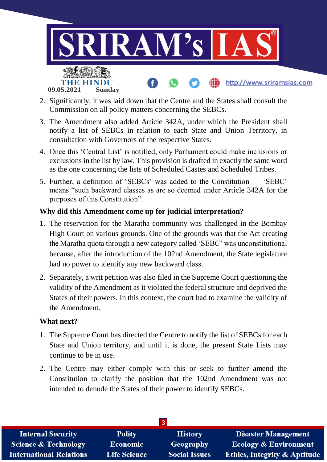

- 2. Significantly, it was laid down that the Centre and the States shall consult the Commission on all policy matters concerning the SEBCs.
- 3. The Amendment also added Article 342A, under which the President shall notify a list of SEBCs in relation to each State and Union Territory, in consultation with Governors of the respective States.
- 4. Once this 'Central List' is notified, only Parliament could make inclusions or exclusions in the list by law. This provision is drafted in exactly the same word as the one concerning the lists of Scheduled Castes and Scheduled Tribes.
- 5. Further, a definition of 'SEBCs' was added to the Constitution 'SEBC' means "such backward classes as are so deemed under Article 342A for the purposes of this Constitution".

#### **Why did this Amendment come up for judicial interpretation?**

- 1. The reservation for the Maratha community was challenged in the Bombay High Court on various grounds. One of the grounds was that the Act creating the Maratha quota through a new category called 'SEBC' was unconstitutional because, after the introduction of the 102nd Amendment, the State legislature had no power to identify any new backward class.
- 2. Separately, a writ petition was also filed in the Supreme Court questioning the validity of the Amendment as it violated the federal structure and deprived the States of their powers. In this context, the court had to examine the validity of the Amendment.

#### **What next?**

- 1. The Supreme Court has directed the Centre to notify the list of SEBCs for each State and Union territory, and until it is done, the present State Lists may continue to be in use.
- 2. The Centre may either comply with this or seek to further amend the Constitution to clarify the position that the 102nd Amendment was not intended to denude the States of their power to identify SEBCs.

| <b>Internal Security</b>        | <b>Polity</b>       | <b>History</b>       | <b>Disaster Management</b>              |  |
|---------------------------------|---------------------|----------------------|-----------------------------------------|--|
| <b>Science &amp; Technology</b> | <b>Economic</b>     | Geography            | <b>Ecology &amp; Environment</b>        |  |
| <b>International Relations</b>  | <b>Life Science</b> | <b>Social Issues</b> | <b>Ethics, Integrity &amp; Aptitude</b> |  |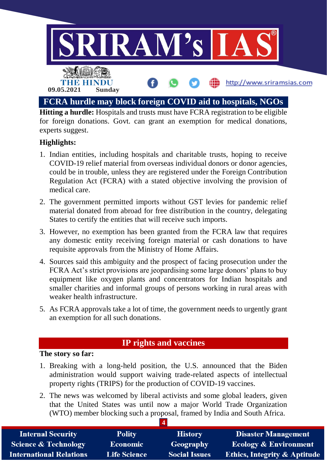

**Hitting a hurdle:** Hospitals and trusts must have FCRA registration to be eligible for foreign donations. Govt. can grant an exemption for medical donations, experts suggest.

### **Highlights:**

- 1. Indian entities, including hospitals and charitable trusts, hoping to receive COVID-19 relief material from overseas individual donors or donor agencies, could be in trouble, unless they are registered under the Foreign Contribution Regulation Act (FCRA) with a stated objective involving the provision of medical care.
- 2. The government permitted imports without GST levies for pandemic relief material donated from abroad for free distribution in the country, delegating States to certify the entities that will receive such imports.
- 3. However, no exemption has been granted from the FCRA law that requires any domestic entity receiving foreign material or cash donations to have requisite approvals from the Ministry of Home Affairs.
- 4. Sources said this ambiguity and the prospect of facing prosecution under the FCRA Act's strict provisions are jeopardising some large donors' plans to buy equipment like oxygen plants and concentrators for Indian hospitals and smaller charities and informal groups of persons working in rural areas with weaker health infrastructure.
- 5. As FCRA approvals take a lot of time, the government needs to urgently grant an exemption for all such donations.

## **IP rights and vaccines**

#### **The story so far:**

- 1. Breaking with a long-held position, the U.S. announced that the Biden administration would support waiving trade-related aspects of intellectual property rights (TRIPS) for the production of COVID-19 vaccines.
- 2. The news was welcomed by liberal activists and some global leaders, given that the United States was until now a major World Trade Organization (WTO) member blocking such a proposal, framed by India and South Africa.

| <b>Internal Security</b>        | <b>Polity</b>       | <b>History</b>       | <b>Disaster Management</b>              |
|---------------------------------|---------------------|----------------------|-----------------------------------------|
| <b>Science &amp; Technology</b> | <b>Economic</b>     | Geography            | <b>Ecology &amp; Environment</b>        |
| <b>International Relations</b>  | <b>Life Science</b> | <b>Social Issues</b> | <b>Ethics, Integrity &amp; Aptitude</b> |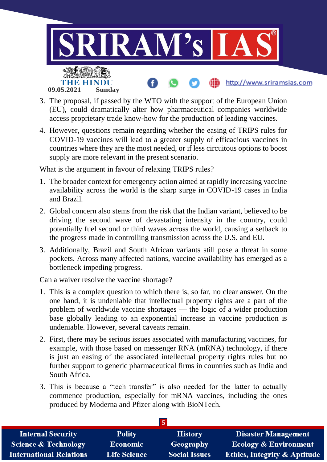

- 3. The proposal, if passed by the WTO with the support of the European Union (EU), could dramatically alter how pharmaceutical companies worldwide access proprietary trade know-how for the production of leading vaccines.
- 4. However, questions remain regarding whether the easing of TRIPS rules for COVID-19 vaccines will lead to a greater supply of efficacious vaccines in countries where they are the most needed, or if less circuitous options to boost supply are more relevant in the present scenario.

What is the argument in favour of relaxing TRIPS rules?

- 1. The broader context for emergency action aimed at rapidly increasing vaccine availability across the world is the sharp surge in COVID-19 cases in India and Brazil.
- 2. Global concern also stems from the risk that the Indian variant, believed to be driving the second wave of devastating intensity in the country, could potentially fuel second or third waves across the world, causing a setback to the progress made in controlling transmission across the U.S. and EU.
- 3. Additionally, Brazil and South African variants still pose a threat in some pockets. Across many affected nations, vaccine availability has emerged as a bottleneck impeding progress.

Can a waiver resolve the vaccine shortage?

- 1. This is a complex question to which there is, so far, no clear answer. On the one hand, it is undeniable that intellectual property rights are a part of the problem of worldwide vaccine shortages — the logic of a wider production base globally leading to an exponential increase in vaccine production is undeniable. However, several caveats remain.
- 2. First, there may be serious issues associated with manufacturing vaccines, for example, with those based on messenger RNA (mRNA) technology, if there is just an easing of the associated intellectual property rights rules but no further support to generic pharmaceutical firms in countries such as India and South Africa.
- 3. This is because a "tech transfer" is also needed for the latter to actually commence production, especially for mRNA vaccines, including the ones produced by Moderna and Pfizer along with BioNTech.

| <b>Internal Security</b>        | <b>Polity</b>       | <b>History</b>       | <b>Disaster Management</b>              |  |
|---------------------------------|---------------------|----------------------|-----------------------------------------|--|
| <b>Science &amp; Technology</b> | <b>Economic</b>     | Geography            | <b>Ecology &amp; Environment</b>        |  |
| <b>International Relations</b>  | <b>Life Science</b> | <b>Social Issues</b> | <b>Ethics, Integrity &amp; Aptitude</b> |  |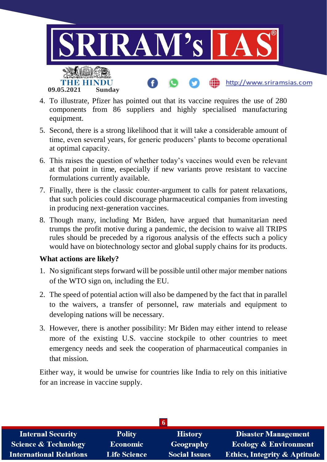

- 4. To illustrate, Pfizer has pointed out that its vaccine requires the use of 280 components from 86 suppliers and highly specialised manufacturing equipment.
- 5. Second, there is a strong likelihood that it will take a considerable amount of time, even several years, for generic producers' plants to become operational at optimal capacity.
- 6. This raises the question of whether today's vaccines would even be relevant at that point in time, especially if new variants prove resistant to vaccine formulations currently available.
- 7. Finally, there is the classic counter-argument to calls for patent relaxations, that such policies could discourage pharmaceutical companies from investing in producing next-generation vaccines.
- 8. Though many, including Mr Biden, have argued that humanitarian need trumps the profit motive during a pandemic, the decision to waive all TRIPS rules should be preceded by a rigorous analysis of the effects such a policy would have on biotechnology sector and global supply chains for its products.

#### **What actions are likely?**

- 1. No significant steps forward will be possible until other major member nations of the WTO sign on, including the EU.
- 2. The speed of potential action will also be dampened by the fact that in parallel to the waivers, a transfer of personnel, raw materials and equipment to developing nations will be necessary.
- 3. However, there is another possibility: Mr Biden may either intend to release more of the existing U.S. vaccine stockpile to other countries to meet emergency needs and seek the cooperation of pharmaceutical companies in that mission.

Either way, it would be unwise for countries like India to rely on this initiative for an increase in vaccine supply.

| <b>Internal Security</b>        | <b>Polity</b>       | <b>History</b>       | <b>Disaster Management</b>              |  |
|---------------------------------|---------------------|----------------------|-----------------------------------------|--|
| <b>Science &amp; Technology</b> | <b>Economic</b>     | Geography            | <b>Ecology &amp; Environment</b>        |  |
| <b>International Relations</b>  | <b>Life Science</b> | <b>Social Issues</b> | <b>Ethics, Integrity &amp; Aptitude</b> |  |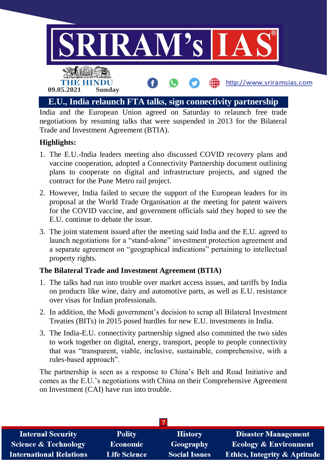

India and the European Union agreed on Saturday to relaunch free trade negotiations by resuming talks that were suspended in 2013 for the Bilateral Trade and Investment Agreement (BTIA).

## **Highlights:**

- 1. The E.U.-India leaders meeting also discussed COVID recovery plans and vaccine cooperation, adopted a Connectivity Partnership document outlining plans to cooperate on digital and infrastructure projects, and signed the contract for the Pune Metro rail project.
- 2. However, India failed to secure the support of the European leaders for its proposal at the World Trade Organisation at the meeting for patent waivers for the COVID vaccine, and government officials said they hoped to see the E.U. continue to debate the issue.
- 3. The joint statement issued after the meeting said India and the E.U. agreed to launch negotiations for a "stand-alone" investment protection agreement and a separate agreement on "geographical indications" pertaining to intellectual property rights.

### **The Bilateral Trade and Investment Agreement (BTIA)**

- 1. The talks had run into trouble over market access issues, and tariffs by India on products like wine, dairy and automotive parts, as well as E.U. resistance over visas for Indian professionals.
- 2. In addition, the Modi government's decision to scrap all Bilateral Investment Treaties (BITs) in 2015 posed hurdles for new E.U. investments in India.
- 3. The India-E.U. connectivity partnership signed also committed the two sides to work together on digital, energy, transport, people to people connectivity that was "transparent, viable, inclusive, sustainable, comprehensive, with a rules-based approach".

The partnership is seen as a response to China's Belt and Road Initiative and comes as the E.U.'s negotiations with China on their Comprehensive Agreement on Investment (CAI) have run into trouble.

| <b>Internal Security</b>        | <b>Polity</b>       | <b>History</b>       | <b>Disaster Management</b>              |
|---------------------------------|---------------------|----------------------|-----------------------------------------|
| <b>Science &amp; Technology</b> | <b>Economic</b>     | Geography            | <b>Ecology &amp; Environment</b>        |
| <b>International Relations</b>  | <b>Life Science</b> | <b>Social Issues</b> | <b>Ethics, Integrity &amp; Aptitude</b> |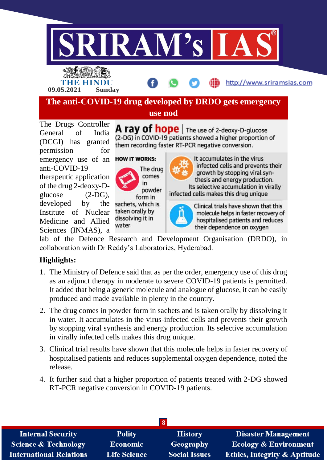



**09.05.2021 Sunday**

http://www.sriramsias.com

**The anti-COVID-19 drug developed by DRDO gets emergency** 

**use nod**

The Drugs Controller General of India (DCGI) has granted permission for emergency use of an anti-COVID-19 therapeutic application of the drug 2-deoxy-Dglucose (2-DG), developed by the Institute of Nuclear Medicine and Allied Sciences (INMAS), a





in

form in sachets, which is

taken orally by

dissolving it in

water

powder

It accumulates in the virus infected cells and prevents their growth by stopping viral synthesis and energy production. Its selective accumulation in virally

infected cells makes this drug unique



Clinical trials have shown that this molecule helps in faster recovery of hospitalised patients and reduces their dependence on oxygen

lab of the Defence Research and Development Organisation (DRDO), in collaboration with Dr Reddy's Laboratories, Hyderabad.

# **Highlights:**

- 1. The Ministry of Defence said that as per the order, emergency use of this drug as an adjunct therapy in moderate to severe COVID-19 patients is permitted. It added that being a generic molecule and analogue of glucose, it can be easily produced and made available in plenty in the country.
- 2. The drug comes in powder form in sachets and is taken orally by dissolving it in water. It accumulates in the virus-infected cells and prevents their growth by stopping viral synthesis and energy production. Its selective accumulation in virally infected cells makes this drug unique.
- 3. Clinical trial results have shown that this molecule helps in faster recovery of hospitalised patients and reduces supplemental oxygen dependence, noted the release.
- 4. It further said that a higher proportion of patients treated with 2-DG showed RT-PCR negative conversion in COVID-19 patients.

| <b>Internal Security</b>        | <b>Polity</b>       | <b>History</b>       | <b>Disaster Management</b>              |  |
|---------------------------------|---------------------|----------------------|-----------------------------------------|--|
| <b>Science &amp; Technology</b> | <b>Economic</b>     | Geography            | <b>Ecology &amp; Environment</b>        |  |
| <b>International Relations</b>  | <b>Life Science</b> | <b>Social Issues</b> | <b>Ethics, Integrity &amp; Aptitude</b> |  |